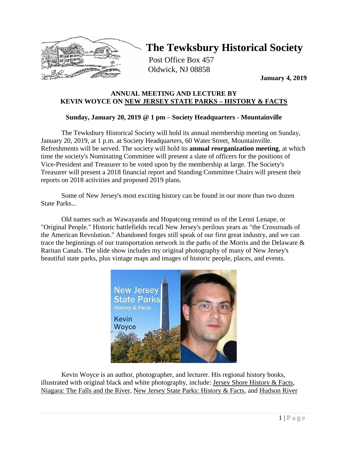

# **The Tewksbury Historical Society**

Post Office Box 457 Oldwick, NJ 08858

**January 4, 2019**

### **ANNUAL MEETING AND LECTURE BY KEVIN WOYCE ON NEW JERSEY STATE PARKS – HISTORY & FACTS**

## **Sunday, January 20, 2019 @ 1 pm – Society Headquarters - Mountainville**

The Tewksbury Historical Society will hold its annual membership meeting on Sunday, January 20, 2019, at 1 p.m. at Society Headquarters, 60 Water Street, Mountainville. Refreshments will be served. The society will hold its **annual reorganization meeting**, at which time the society's Nominating Committee will present a slate of officers for the positions of Vice-President and Treasurer to be voted upon by the membership at large. The Society's Treasurer will present a 2018 financial report and Standing Committee Chairs will present their reports on 2018 activities and proposed 2019 plans.

Some of New Jersey's most exciting history can be found in our more than two dozen State Parks...

Old names such as Wawayanda and Hopatcong remind us of the Lenni Lenape, or "Original People." Historic battlefields recall New Jersey's perilous years as "the Crossroads of the American Revolution." Abandoned forges still speak of our first great industry, and we can trace the beginnings of our transportation network in the paths of the Morris and the Delaware & Raritan Canals. The slide show includes my original photography of many of New Jersey's beautiful state parks, plus vintage maps and images of historic people, places, and events.



Kevin Woyce is an author, photographer, and lecturer. His regional history books, illustrated with original black and white photography, include: Jersey Shore History & Facts, Niagara: The Falls and the River, New Jersey State Parks: History & Facts, and Hudson River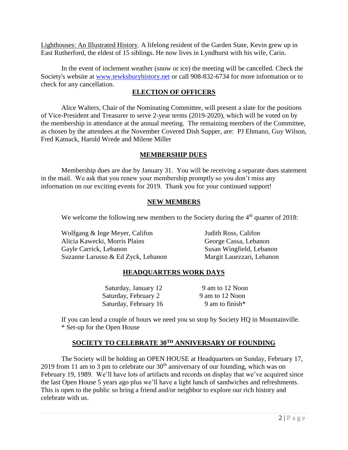Lighthouses: An Illustrated History. A lifelong resident of the Garden State, Kevin grew up in East Rutherford, the eldest of 15 siblings. He now lives in Lyndhurst with his wife, Carin.

In the event of inclement weather (snow or ice) the meeting will be cancelled. Check the Society's website at [www.tewksburyhistory.net](http://www.tewksburyhistory.net/) or call 908-832-6734 for more information or to check for any cancellation.

#### **ELECTION OF OFFICERS**

Alice Walters, Chair of the Nominating Committee, will present a slate for the positions of Vice-President and Treasurer to serve 2-year terms (2019-2020), which will be voted on by the membership in attendance at the annual meeting. The remaining members of the Committee, as chosen by the attendees at the November Covered Dish Supper, are: PJ Ehmann, Guy Wilson, Fred Katnack, Harold Wrede and Milene Miller

#### **MEMBERSHIP DUES**

Membership dues are due by January 31. You will be receiving a separate dues statement in the mail. We ask that you renew your membership promptly so you don't miss any information on our exciting events for 2019. Thank you for your continued support!

### **NEW MEMBERS**

We welcome the following new members to the Society during the  $4<sup>th</sup>$  quarter of 2018:

Wolfgang & Inge Meyer, Califon Judith Ross, Califon Alicia Kawecki, Morris Plains George Cassa, Lebanon Gayle Carrick, Lebanon Susan Wingfield, Lebanon Suzanne Larusso & Ed Zyck, Lebanon Margit Lauezzari, Lebanon

### **HEADQUARTERS WORK DAYS**

Saturday, January 12 9 am to 12 Noon Saturday, February 2 9 am to 12 Noon Saturday, February 16 9 am to finish\*

If you can lend a couple of hours we need you so stop by Society HQ in Mountainville. \* Set-up for the Open House

### **SOCIETY TO CELEBRATE 30TH ANNIVERSARY OF FOUNDING**

The Society will be holding an OPEN HOUSE at Headquarters on Sunday, February 17, 2019 from 11 am to 3 pm to celebrate our  $30<sup>th</sup>$  anniversary of our founding, which was on February 19, 1989. We'll have lots of artifacts and records on display that we've acquired since the last Open House 5 years ago plus we'll have a light lunch of sandwiches and refreshments. This is open to the public so bring a friend and/or neighbor to explore our rich history and celebrate with us.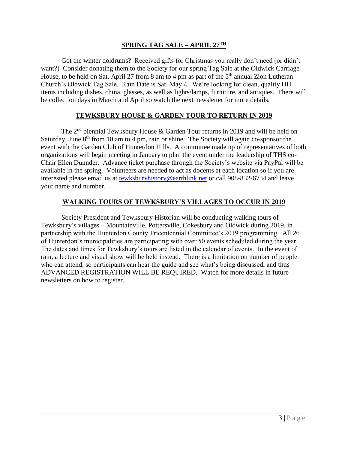#### **SPRING TAG SALE – APRIL 27TH**

Got the winter doldrums? Received gifts for Christmas you really don't need (or didn't want?) Consider donating them to the Society for our spring Tag Sale at the Oldwick Carriage House, to be held on Sat. April 27 from 8 am to 4 pm as part of the  $5<sup>th</sup>$  annual Zion Lutheran Church's Oldwick Tag Sale. Rain Date is Sat. May 4. We're looking for clean, quality HH items including dishes, china, glasses, as well as lights/lamps, furniture, and antiques. There will be collection days in March and April so watch the next newsletter for more details.

#### **TEWKSBURY HOUSE & GARDEN TOUR TO RETURN IN 2019**

The  $2<sup>nd</sup>$  biennial Tewksbury House & Garden Tour returns in 2019 and will be held on Saturday, June  $8<sup>th</sup>$  from 10 am to 4 pm, rain or shine. The Society will again co-sponsor the event with the Garden Club of Hunterdon Hills. A committee made up of representatives of both organizations will begin meeting in January to plan the event under the leadership of THS co-Chair Ellen Dunnder. Advance ticket purchase through the Society's website via PayPal will be available in the spring. Volunteers are needed to act as docents at each location so if you are interested please email us at [tewksburyhistory@earthlink.net](mailto:tewksburyhistory@earthlink.net) or call 908-832-6734 and leave your name and number.

### **WALKING TOURS OF TEWKSBURY'S VILLAGES TO OCCUR IN 2019**

Society President and Tewksbury Historian will be conducting walking tours of Tewksbury's villages – Mountainville, Pottersville, Cokesbury and Oldwick during 2019, in partnership with the Hunterdon County Tricentennial Committee's 2019 programming. All 26 of Hunterdon's municipalities are participating with over 50 events scheduled during the year. The dates and times for Tewksbury's tours are listed in the calendar of events. In the event of rain, a lecture and visual show will be held instead. There is a limitation on number of people who can attend, so participants can hear the guide and see what's being discussed, and thus ADVANCED REGISTRATION WILL BE REQUIRED. Watch for more details in future newsletters on how to register.